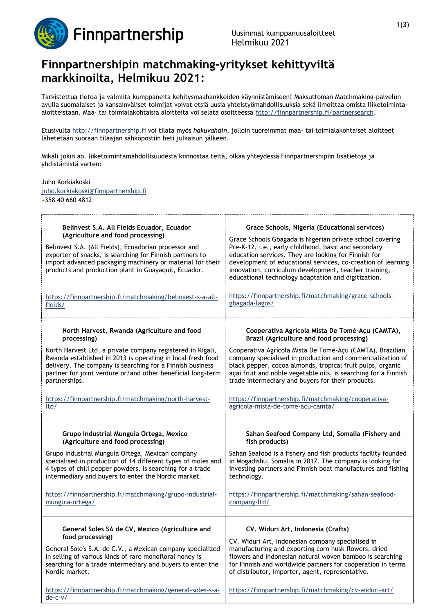

## **Finnpartnershipin matchmaking-yritykset kehittyviltä markkinoilta, Helmikuu 2021:**

Tarkistettua tietoa ja valmiita kumppaneita kehitysmaahankkeiden käynnistämiseen! Maksuttoman Matchmaking-palvelun avulla suomalaiset ja kansainväliset toimijat voivat etsiä uusia yhteistyömahdollisuuksia sekä ilmoittaa omista liiketoimintaaloitteistaan. Maa- tai toimialakohtaisia aloitteita voi selata osoitteessa [http://finnpartnership.fi/partnersearch.](http://finnpartnership.fi/partnersearch)

Etusivulta [http://finnpartnership.fi](http://finnpartnership.fi/) voi tilata myös *hakuvahdin*, jolloin tuoreimmat maa- tai toimialakohtaiset aloitteet lähetetään suoraan tilaajan sähköpostiin heti julkaisun jälkeen.

Mikäli jokin ao. liiketoimintamahdollisuudesta kiinnostaa teitä, olkaa yhteydessä Finnpartnershipiin lisätietoja ja yhdistämistä varten:

Juho Korkiakoski [juho.korkiakoski@finnpartnership.fi](mailto:juho.korkiakoski@finnpartnership.fi)

+358 40 660 4812

| Belinvest S.A. All Fields Ecuador, Ecuador<br>(Agriculture and food processing)<br>Belinvest S.A. (All Fields), Ecuadorian processor and<br>exporter of snacks, is searching for Finnish partners to<br>import advanced packaging machinery or material for their<br>products and production plant in Guayaquil, Ecuador.<br>https://finnpartnership.fi/matchmaking/belinvest-s-a-all-<br>fields/ | Grace Schools, Nigeria (Educational services)<br>Grace Schools Gbagada is Nigerian private school covering<br>Pre-K-12, i.e., early childhood, basic and secondary<br>education services. They are looking for Finnish for<br>development of educational services, co-creation of learning<br>innovation, curriculum development, teacher training,<br>educational technology adaptation and digitization.<br>https://finnpartnership.fi/matchmaking/grace-schools-<br>gbagada-lagos/ |
|---------------------------------------------------------------------------------------------------------------------------------------------------------------------------------------------------------------------------------------------------------------------------------------------------------------------------------------------------------------------------------------------------|---------------------------------------------------------------------------------------------------------------------------------------------------------------------------------------------------------------------------------------------------------------------------------------------------------------------------------------------------------------------------------------------------------------------------------------------------------------------------------------|
| North Harvest, Rwanda (Agriculture and food                                                                                                                                                                                                                                                                                                                                                       | Cooperativa Agrícola Mista De Tomé-Açu (CAMTA),                                                                                                                                                                                                                                                                                                                                                                                                                                       |
| processing)                                                                                                                                                                                                                                                                                                                                                                                       | Brazil (Agriculture and food processing)                                                                                                                                                                                                                                                                                                                                                                                                                                              |
| North Harvest Ltd, a private company registered in Kigali,                                                                                                                                                                                                                                                                                                                                        | Cooperativa Agrícola Mista De Tomé-Açu (CAMTA), Brazilian                                                                                                                                                                                                                                                                                                                                                                                                                             |
| Rwanda established in 2013 is operating in local fresh food                                                                                                                                                                                                                                                                                                                                       | company specialised in production and commercialization of                                                                                                                                                                                                                                                                                                                                                                                                                            |
| delivery. The company is searching for a Finnish business                                                                                                                                                                                                                                                                                                                                         | black pepper, cocoa almonds, tropical fruit pulps, organic                                                                                                                                                                                                                                                                                                                                                                                                                            |
| partner for joint venture or/and other beneficial long-term                                                                                                                                                                                                                                                                                                                                       | açai fruit and noble vegetable oils, is searching for a Finnish                                                                                                                                                                                                                                                                                                                                                                                                                       |
| partnerships.                                                                                                                                                                                                                                                                                                                                                                                     | trade intermediary and buyers for their products.                                                                                                                                                                                                                                                                                                                                                                                                                                     |
| https://finnpartnership.fi/matchmaking/north-harvest-                                                                                                                                                                                                                                                                                                                                             | https://finnpartnership.fi/matchmaking/cooperativa-                                                                                                                                                                                                                                                                                                                                                                                                                                   |
| ltd/                                                                                                                                                                                                                                                                                                                                                                                              | agricola-mista-de-tome-acu-camta/                                                                                                                                                                                                                                                                                                                                                                                                                                                     |
| Grupo Industrial Munguia Ortega, Mexico                                                                                                                                                                                                                                                                                                                                                           | Sahan Seafood Company Ltd, Somalia (Fishery and                                                                                                                                                                                                                                                                                                                                                                                                                                       |
| (Agriculture and food processing)                                                                                                                                                                                                                                                                                                                                                                 | fish products)                                                                                                                                                                                                                                                                                                                                                                                                                                                                        |
| Grupo Industrial Munguia Ortega, Mexican company                                                                                                                                                                                                                                                                                                                                                  | Sahan Seafood is a fishery and fish products facility founded                                                                                                                                                                                                                                                                                                                                                                                                                         |
| specialised in production of 14 different types of moles and                                                                                                                                                                                                                                                                                                                                      | in Mogadishu, Somalia in 2017. The company is looking for                                                                                                                                                                                                                                                                                                                                                                                                                             |
| 4 types of chili pepper powders, is searching for a trade                                                                                                                                                                                                                                                                                                                                         | investing partners and Finnish boat manufactures and fishing                                                                                                                                                                                                                                                                                                                                                                                                                          |
| intermediary and buyers to enter the Nordic market.                                                                                                                                                                                                                                                                                                                                               | technology.                                                                                                                                                                                                                                                                                                                                                                                                                                                                           |
| https://finnpartnership.fi/matchmaking/grupo-industrial-                                                                                                                                                                                                                                                                                                                                          | https://finnpartnership.fi/matchmaking/sahan-seafood-                                                                                                                                                                                                                                                                                                                                                                                                                                 |
| munguia-ortega/                                                                                                                                                                                                                                                                                                                                                                                   | company-ltd/                                                                                                                                                                                                                                                                                                                                                                                                                                                                          |
| General Soles SA de CV, Mexico (Agriculture and<br>food processing)                                                                                                                                                                                                                                                                                                                               | CV. Widuri Art, Indonesia (Crafts)                                                                                                                                                                                                                                                                                                                                                                                                                                                    |
| General Sole's S.A. de C.V., a Mexican company specialized<br>in selling of various kinds of rare monofloral honey is<br>searching for a trade intermediary and buyers to enter the<br>Nordic market.                                                                                                                                                                                             | CV. Widuri Art, Indonesian company specialised in<br>manufacturing and exporting corn husk flowers, dried<br>flowers and Indonesian natural woven bamboo is searching<br>for Finnish and worldwide partners for cooperation in terms<br>of distributor, importer, agent, representative.                                                                                                                                                                                              |
| https://finnpartnership.fi/matchmaking/general-soles-s-a-<br>$de-c-v/$                                                                                                                                                                                                                                                                                                                            | https://finnpartnership.fi/matchmaking/cv-widuri-art/                                                                                                                                                                                                                                                                                                                                                                                                                                 |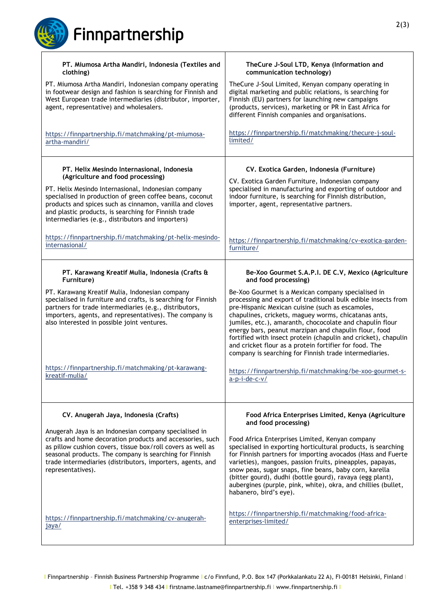Finnpartnership

| PT. Miumosa Artha Mandiri, Indonesia (Textiles and                                                                                                                                                                                                                                                                              | TheCure J-Soul LTD, Kenya (Information and                                                                                                                                                                                                                                                                                                                                                                                                                                                                                                 |
|---------------------------------------------------------------------------------------------------------------------------------------------------------------------------------------------------------------------------------------------------------------------------------------------------------------------------------|--------------------------------------------------------------------------------------------------------------------------------------------------------------------------------------------------------------------------------------------------------------------------------------------------------------------------------------------------------------------------------------------------------------------------------------------------------------------------------------------------------------------------------------------|
| clothing)                                                                                                                                                                                                                                                                                                                       | communication technology)                                                                                                                                                                                                                                                                                                                                                                                                                                                                                                                  |
| PT. Miumosa Artha Mandiri, Indonesian company operating<br>in footwear design and fashion is searching for Finnish and<br>West European trade intermediaries (distributor, importer,<br>agent, representative) and wholesalers.                                                                                                 | TheCure J-Soul Limited, Kenyan company operating in<br>digital marketing and public relations, is searching for<br>Finnish (EU) partners for launching new campaigns<br>(products, services), marketing or PR in East Africa for<br>different Finnish companies and organisations.                                                                                                                                                                                                                                                         |
| https://finnpartnership.fi/matchmaking/pt-miumosa-                                                                                                                                                                                                                                                                              | https://finnpartnership.fi/matchmaking/thecure-j-soul-                                                                                                                                                                                                                                                                                                                                                                                                                                                                                     |
| artha-mandiri/                                                                                                                                                                                                                                                                                                                  | limited/                                                                                                                                                                                                                                                                                                                                                                                                                                                                                                                                   |
| PT. Helix Mesindo Internasional, Indonesia<br>(Agriculture and food processing)                                                                                                                                                                                                                                                 | CV. Exotica Garden, Indonesia (Furniture)                                                                                                                                                                                                                                                                                                                                                                                                                                                                                                  |
| PT. Helix Mesindo Internasional, Indonesian company<br>specialised in production of green coffee beans, coconut<br>products and spices such as cinnamon, vanilla and cloves<br>and plastic products, is searching for Finnish trade<br>intermediaries (e.g., distributors and importers)                                        | CV. Exotica Garden Furniture, Indonesian company<br>specialised in manufacturing and exporting of outdoor and<br>indoor furniture, is searching for Finnish distribution,<br>importer, agent, representative partners.                                                                                                                                                                                                                                                                                                                     |
| https://finnpartnership.fi/matchmaking/pt-helix-mesindo-                                                                                                                                                                                                                                                                        | https://finnpartnership.fi/matchmaking/cv-exotica-garden-                                                                                                                                                                                                                                                                                                                                                                                                                                                                                  |
| internasional/                                                                                                                                                                                                                                                                                                                  | furniture/                                                                                                                                                                                                                                                                                                                                                                                                                                                                                                                                 |
| PT. Karawang Kreatif Mulia, Indonesia (Crafts &                                                                                                                                                                                                                                                                                 | Be-Xoo Gourmet S.A.P.I. DE C.V, Mexico (Agriculture                                                                                                                                                                                                                                                                                                                                                                                                                                                                                        |
| Furniture)                                                                                                                                                                                                                                                                                                                      | and food processing)                                                                                                                                                                                                                                                                                                                                                                                                                                                                                                                       |
| PT. Karawang Kreatif Mulia, Indonesian company<br>specialised in furniture and crafts, is searching for Finnish<br>partners for trade intermediaries (e.g., distributors,<br>importers, agents, and representatives). The company is<br>also interested in possible joint ventures.                                             | Be-Xoo Gourmet is a Mexican company specialised in<br>processing and export of traditional bulk edible insects from<br>pre-Hispanic Mexican cuisine (such as escamoles,<br>chapulines, crickets, maguey worms, chicatanas ants,<br>jumiles, etc.), amaranth, chococolate and chapulin flour<br>energy bars, peanut marzipan and chapulin flour, food<br>fortified with insect protein (chapulin and cricket), chapulin<br>and cricket flour as a protein fortifier for food. The<br>company is searching for Finnish trade intermediaries. |
| https://finnpartnership.fi/matchmaking/pt-karawang-                                                                                                                                                                                                                                                                             | https://finnpartnership.fi/matchmaking/be-xoo-gourmet-s-                                                                                                                                                                                                                                                                                                                                                                                                                                                                                   |
| kreatif-mulia/                                                                                                                                                                                                                                                                                                                  | $a-p-i-de-c-v/$                                                                                                                                                                                                                                                                                                                                                                                                                                                                                                                            |
| CV. Anugerah Jaya, Indonesia (Crafts)                                                                                                                                                                                                                                                                                           | Food Africa Enterprises Limited, Kenya (Agriculture<br>and food processing)                                                                                                                                                                                                                                                                                                                                                                                                                                                                |
| Anugerah Jaya is an Indonesian company specialised in<br>crafts and home decoration products and accessories, such<br>as pillow cushion covers, tissue box/roll covers as well as<br>seasonal products. The company is searching for Finnish<br>trade intermediaries (distributors, importers, agents, and<br>representatives). | Food Africa Enterprises Limited, Kenyan company<br>specialised in exporting horticultural products, is searching<br>for Finnish partners for importing avocados (Hass and Fuerte<br>varieties), mangoes, passion fruits, pineapples, papayas,<br>snow peas, sugar snaps, fine beans, baby corn, karella<br>(bitter gourd), dudhi (bottle gourd), ravaya (egg plant),<br>aubergines (purple, pink, white), okra, and chillies (bullet,<br>habanero, bird's eye).                                                                            |
| https://finnpartnership.fi/matchmaking/cv-anugerah-                                                                                                                                                                                                                                                                             | https://finnpartnership.fi/matchmaking/food-africa-                                                                                                                                                                                                                                                                                                                                                                                                                                                                                        |
| jaya/                                                                                                                                                                                                                                                                                                                           | enterprises-limited/                                                                                                                                                                                                                                                                                                                                                                                                                                                                                                                       |